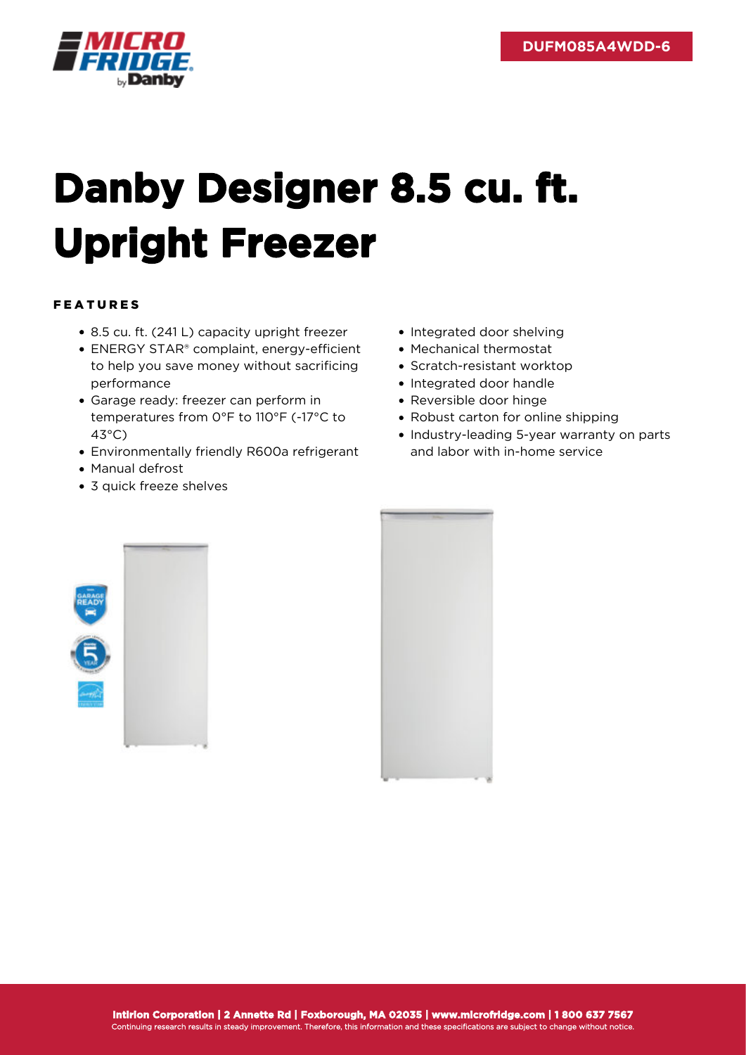

## **Danby Designer 8.5 cu. ft. Upright Freezer**

## FEATURES

- 8.5 cu. ft. (241 L) capacity upright freezer
- ENERGY STAR® complaint, energy-efficient to help you save money without sacrificing performance
- Garage ready: freezer can perform in temperatures from 0°F to 110°F (-17°C to 43°C)
- Environmentally friendly R600a refrigerant
- Manual defrost
- 3 quick freeze shelves
- Integrated door shelving
- Mechanical thermostat
- Scratch-resistant worktop
- Integrated door handle
- Reversible door hinge
- Robust carton for online shipping
- Industry-leading 5-year warranty on parts and labor with in-home service